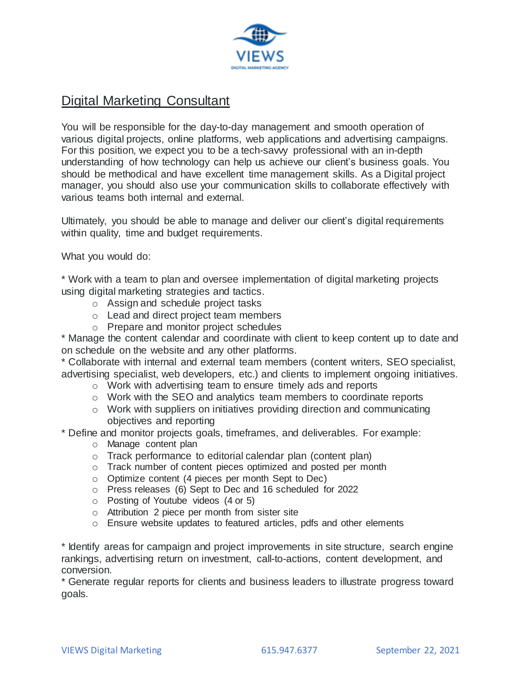

## Digital Marketing Consultant

You will be responsible for the day-to-day management and smooth operation of various digital projects, online platforms, web applications and advertising campaigns. For this position, we expect you to be a tech-savvy professional with an in-depth understanding of how technology can help us achieve our client's business goals. You should be methodical and have excellent time management skills. As a Digital project manager, you should also use your communication skills to collaborate effectively with various teams both internal and external.

Ultimately, you should be able to manage and deliver our client's digital requirements within quality, time and budget requirements.

What you would do:

\* Work with a team to plan and oversee implementation of digital marketing projects using digital marketing strategies and tactics.

- o Assign and schedule project tasks
- o Lead and direct project team members
- o Prepare and monitor project schedules

\* Manage the content calendar and coordinate with client to keep content up to date and on schedule on the website and any other platforms.

\* Collaborate with internal and external team members (content writers, SEO specialist, advertising specialist, web developers, etc.) and clients to implement ongoing initiatives.

- o Work with advertising team to ensure timely ads and reports
- o Work with the SEO and analytics team members to coordinate reports
- o Work with suppliers on initiatives providing direction and communicating objectives and reporting
- \* Define and monitor projects goals, timeframes, and deliverables. For example:
	- o Manage content plan
	- o Track performance to editorial calendar plan (content plan)
	- o Track number of content pieces optimized and posted per month
	- o Optimize content (4 pieces per month Sept to Dec)
	- o Press releases (6) Sept to Dec and 16 scheduled for 2022
	- o Posting of Youtube videos (4 or 5)
	- o Attribution 2 piece per month from sister site
	- o Ensure website updates to featured articles, pdfs and other elements

\* Identify areas for campaign and project improvements in site structure, search engine rankings, advertising return on investment, call-to-actions, content development, and conversion.

\* Generate regular reports for clients and business leaders to illustrate progress toward goals.